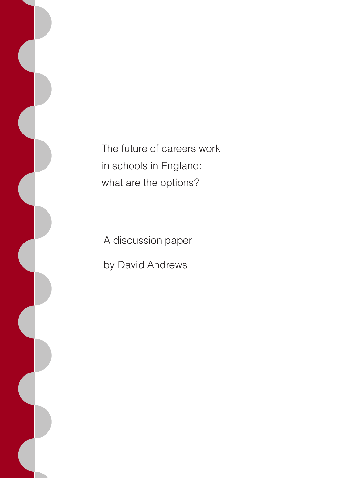The future of careers work in schools in England: what are the options?

A discussion paper by David Andrews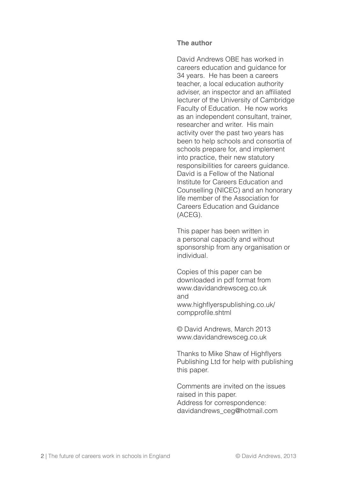#### **The author**

David Andrews OBE has worked in careers education and guidance for 34 years. He has been a careers teacher, a local education authority adviser, an inspector and an affiliated lecturer of the University of Cambridge Faculty of Education. He now works as an independent consultant, trainer, researcher and writer. His main activity over the past two years has been to help schools and consortia of schools prepare for, and implement into practice, their new statutory responsibilities for careers guidance. David is a Fellow of the National Institute for Careers Education and Counselling (NICEC) and an honorary life member of the Association for Careers Education and Guidance (ACEG).

This paper has been written in a personal capacity and without sponsorship from any organisation or individual.

Copies of this paper can be downloaded in pdf format from www.davidandrewsceg.co.uk and www.highflyerspublishing.co.uk/ compprofile.shtml

© David Andrews, March 2013 www.davidandrewsceg.co.uk

Thanks to Mike Shaw of Highflyers Publishing Ltd for help with publishing this paper.

Comments are invited on the issues raised in this paper. Address for correspondence: davidandrews\_ceg@hotmail.com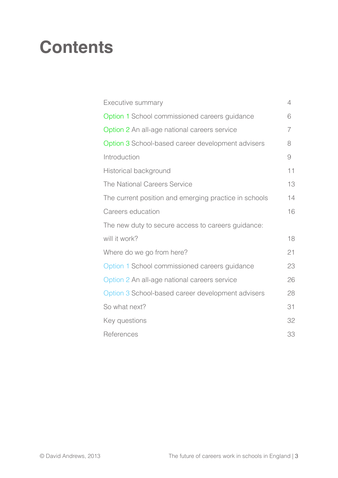### **Contents**

| Executive summary                                     | 4  |
|-------------------------------------------------------|----|
| Option 1 School commissioned careers guidance         | 6  |
| Option 2 An all-age national careers service          | 7  |
| Option 3 School-based career development advisers     | 8  |
| Introduction                                          | 9  |
| Historical background                                 | 11 |
| The National Careers Service                          | 13 |
| The current position and emerging practice in schools | 14 |
| Careers education                                     | 16 |
| The new duty to secure access to careers guidance:    |    |
| will it work?                                         | 18 |
| Where do we go from here?                             | 21 |
| Option 1 School commissioned careers guidance         | 23 |
| Option 2 An all-age national careers service          | 26 |
| Option 3 School-based career development advisers     | 28 |
| So what next?                                         | 31 |
| Key questions                                         | 32 |
| References                                            | 33 |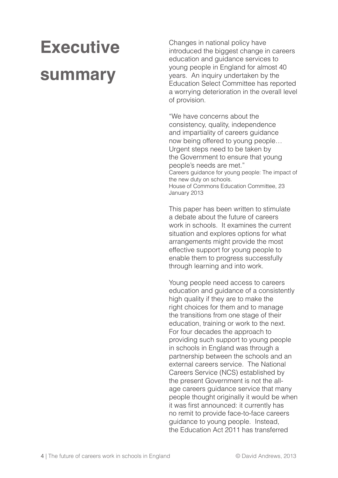## **Executive summary**

Changes in national policy have introduced the biggest change in careers education and guidance services to young people in England for almost 40 years. An inquiry undertaken by the Education Select Committee has reported a worrying deterioration in the overall level of provision.

"We have concerns about the consistency, quality, independence and impartiality of careers guidance now being offered to young people… Urgent steps need to be taken by the Government to ensure that young people's needs are met." Careers guidance for young people: The impact of the new duty on schools. House of Commons Education Committee, 23 January 2013

This paper has been written to stimulate a debate about the future of careers work in schools. It examines the current situation and explores options for what arrangements might provide the most effective support for young people to enable them to progress successfully through learning and into work.

Young people need access to careers education and guidance of a consistently high quality if they are to make the right choices for them and to manage the transitions from one stage of their education, training or work to the next. For four decades the approach to providing such support to young people in schools in England was through a partnership between the schools and an external careers service. The National Careers Service (NCS) established by the present Government is not the allage careers guidance service that many people thought originally it would be when it was first announced: it currently has no remit to provide face-to-face careers guidance to young people. Instead, the Education Act 2011 has transferred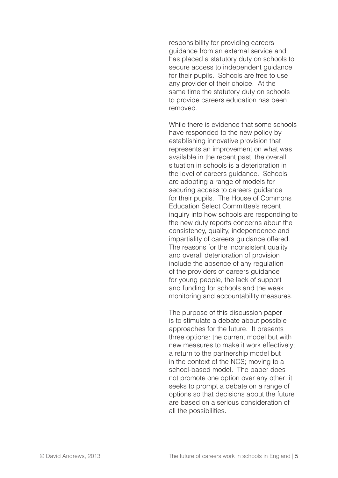responsibility for providing careers guidance from an external service and has placed a statutory duty on schools to secure access to independent guidance for their pupils. Schools are free to use any provider of their choice. At the same time the statutory duty on schools to provide careers education has been removed.

While there is evidence that some schools have responded to the new policy by establishing innovative provision that represents an improvement on what was available in the recent past, the overall situation in schools is a deterioration in the level of careers guidance. Schools are adopting a range of models for securing access to careers guidance for their pupils. The House of Commons Education Select Committee's recent inquiry into how schools are responding to the new duty reports concerns about the consistency, quality, independence and impartiality of careers guidance offered. The reasons for the inconsistent quality and overall deterioration of provision include the absence of any regulation of the providers of careers guidance for young people, the lack of support and funding for schools and the weak monitoring and accountability measures.

The purpose of this discussion paper is to stimulate a debate about possible approaches for the future. It presents three options: the current model but with new measures to make it work effectively; a return to the partnership model but in the context of the NCS; moving to a school-based model. The paper does not promote one option over any other: it seeks to prompt a debate on a range of options so that decisions about the future are based on a serious consideration of all the possibilities.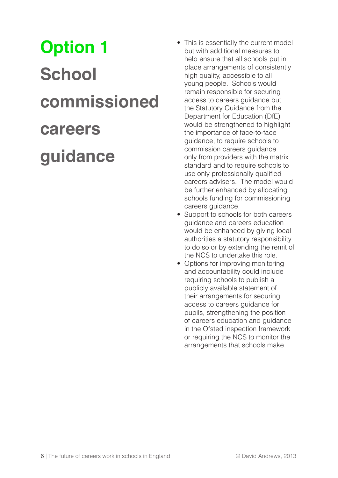# **Option 1 School commissioned careers guidance**

- This is essentially the current model but with additional measures to help ensure that all schools put in place arrangements of consistently high quality, accessible to all young people. Schools would remain responsible for securing access to careers guidance but the Statutory Guidance from the Department for Education (DfE) would be strengthened to highlight the importance of face-to-face guidance, to require schools to commission careers guidance only from providers with the matrix standard and to require schools to use only professionally qualified careers advisers. The model would be further enhanced by allocating schools funding for commissioning careers guidance.
- Support to schools for both careers guidance and careers education would be enhanced by giving local authorities a statutory responsibility to do so or by extending the remit of the NCS to undertake this role.
- Options for improving monitoring and accountability could include requiring schools to publish a publicly available statement of their arrangements for securing access to careers guidance for pupils, strengthening the position of careers education and guidance in the Ofsted inspection framework or requiring the NCS to monitor the arrangements that schools make.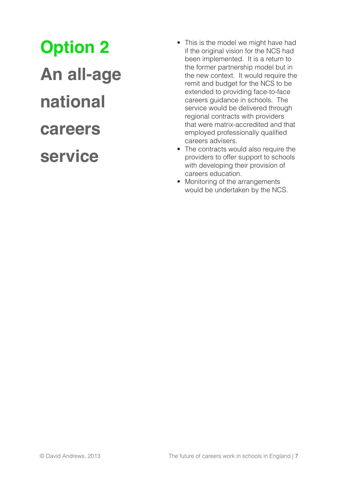**Option 2**

**An all-age national careers service**

- This is the model we might have had if the original vision for the NCS had been implemented. It is a return to the former partnership model but in the new context. It would require the remit and budget for the NCS to be extended to providing face-to-face careers guidance in schools. The service would be delivered through regional contracts with providers that were matrix-accredited and that employed professionally qualified careers advisers.
- The contracts would also require the providers to offer support to schools with developing their provision of careers education.
- Monitoring of the arrangements would be undertaken by the NCS.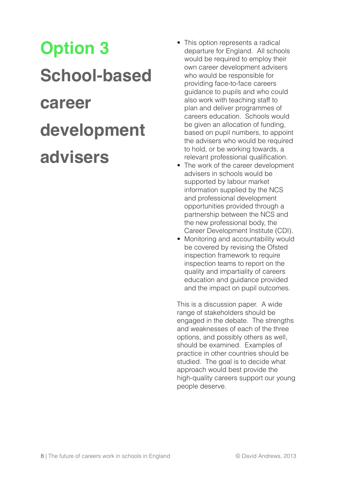# **Option 3 School-based career development advisers**

- This option represents a radical departure for England. All schools would be required to employ their own career development advisers who would be responsible for providing face-to-face careers guidance to pupils and who could also work with teaching staff to plan and deliver programmes of careers education. Schools would be given an allocation of funding, based on pupil numbers, to appoint the advisers who would be required to hold, or be working towards, a relevant professional qualification.
- The work of the career development advisers in schools would be supported by labour market information supplied by the NCS and professional development opportunities provided through a partnership between the NCS and the new professional body, the Career Development Institute (CDI).
- Monitoring and accountability would be covered by revising the Ofsted inspection framework to require inspection teams to report on the quality and impartiality of careers education and guidance provided and the impact on pupil outcomes.

This is a discussion paper. A wide range of stakeholders should be engaged in the debate. The strengths and weaknesses of each of the three options, and possibly others as well, should be examined. Examples of practice in other countries should be studied. The goal is to decide what approach would best provide the high-quality careers support our young people deserve.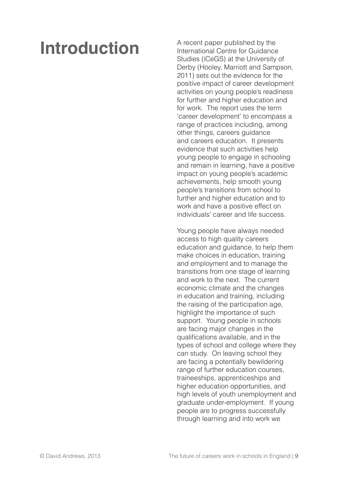### **Introduction**

A recent paper published by the International Centre for Guidance Studies (iCeGS) at the University of Derby (Hooley, Marriott and Sampson, 2011) sets out the evidence for the positive impact of career development activities on young people's readiness for further and higher education and for work. The report uses the term 'career development' to encompass a range of practices including, among other things, careers guidance and careers education. It presents evidence that such activities help young people to engage in schooling and remain in learning, have a positive impact on young people's academic achievements, help smooth young people's transitions from school to further and higher education and to work and have a positive effect on individuals' career and life success.

Young people have always needed access to high quality careers education and guidance, to help them make choices in education, training and employment and to manage the transitions from one stage of learning and work to the next. The current economic climate and the changes in education and training, including the raising of the participation age, highlight the importance of such support. Young people in schools are facing major changes in the qualifications available, and in the types of school and college where they can study. On leaving school they are facing a potentially bewildering range of further education courses, traineeships, apprenticeships and higher education opportunities, and high levels of youth unemployment and graduate under-employment. If young people are to progress successfully through learning and into work we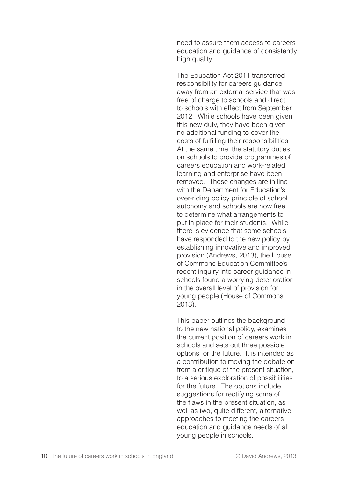need to assure them access to careers education and guidance of consistently high quality.

The Education Act 2011 transferred responsibility for careers guidance away from an external service that was free of charge to schools and direct to schools with effect from September 2012. While schools have been given this new duty, they have been given no additional funding to cover the costs of fulfilling their responsibilities. At the same time, the statutory duties on schools to provide programmes of careers education and work-related learning and enterprise have been removed. These changes are in line with the Department for Education's over-riding policy principle of school autonomy and schools are now free to determine what arrangements to put in place for their students. While there is evidence that some schools have responded to the new policy by establishing innovative and improved provision (Andrews, 2013), the House of Commons Education Committee's recent inquiry into career guidance in schools found a worrying deterioration in the overall level of provision for young people (House of Commons, 2013).

This paper outlines the background to the new national policy, examines the current position of careers work in schools and sets out three possible options for the future. It is intended as a contribution to moving the debate on from a critique of the present situation. to a serious exploration of possibilities for the future. The options include suggestions for rectifying some of the flaws in the present situation, as well as two, quite different, alternative approaches to meeting the careers education and guidance needs of all young people in schools.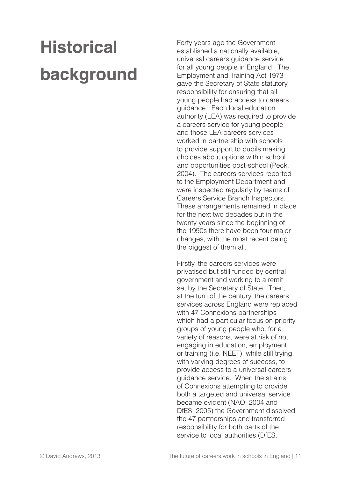## **Historical background**

Forty years ago the Government established a nationally available, universal careers guidance service for all young people in England. The Employment and Training Act 1973 gave the Secretary of State statutory responsibility for ensuring that all young people had access to careers guidance. Each local education authority (LEA) was required to provide a careers service for young people and those LEA careers services worked in partnership with schools to provide support to pupils making choices about options within school and opportunities post-school (Peck, 2004). The careers services reported to the Employment Department and were inspected regularly by teams of Careers Service Branch Inspectors. These arrangements remained in place for the next two decades but in the twenty years since the beginning of the 1990s there have been four major changes, with the most recent being the biggest of them all.

Firstly, the careers services were privatised but still funded by central government and working to a remit set by the Secretary of State. Then, at the turn of the century, the careers services across England were replaced with 47 Connexions partnerships which had a particular focus on priority groups of young people who, for a variety of reasons, were at risk of not engaging in education, employment or training (i.e. NEET), while still trying, with varying degrees of success, to provide access to a universal careers guidance service. When the strains of Connexions attempting to provide both a targeted and universal service became evident (NAO, 2004 and DfES, 2005) the Government dissolved the 47 partnerships and transferred responsibility for both parts of the service to local authorities (DfES,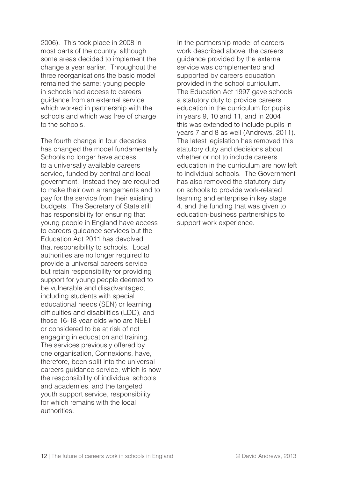2006). This took place in 2008 in most parts of the country, although some areas decided to implement the change a year earlier. Throughout the three reorganisations the basic model remained the same: young people in schools had access to careers guidance from an external service which worked in partnership with the schools and which was free of charge to the schools.

The fourth change in four decades has changed the model fundamentally. Schools no longer have access to a universally available careers service, funded by central and local government. Instead they are required to make their own arrangements and to pay for the service from their existing budgets. The Secretary of State still has responsibility for ensuring that young people in England have access to careers guidance services but the Education Act 2011 has devolved that responsibility to schools. Local authorities are no longer required to provide a universal careers service but retain responsibility for providing support for young people deemed to be vulnerable and disadvantaged, including students with special educational needs (SEN) or learning difficulties and disabilities (LDD), and those 16-18 year olds who are NEET or considered to be at risk of not engaging in education and training. The services previously offered by one organisation, Connexions, have, therefore, been split into the universal careers guidance service, which is now the responsibility of individual schools and academies, and the targeted youth support service, responsibility for which remains with the local authorities.

In the partnership model of careers work described above, the careers guidance provided by the external service was complemented and supported by careers education provided in the school curriculum. The Education Act 1997 gave schools a statutory duty to provide careers education in the curriculum for pupils in years 9, 10 and 11, and in 2004 this was extended to include pupils in years 7 and 8 as well (Andrews, 2011). The latest legislation has removed this statutory duty and decisions about whether or not to include careers education in the curriculum are now left to individual schools. The Government has also removed the statutory duty on schools to provide work-related learning and enterprise in key stage 4, and the funding that was given to education-business partnerships to support work experience.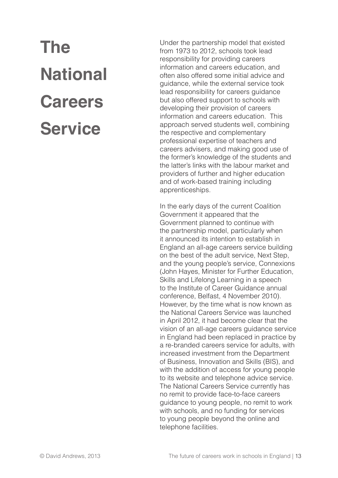# **The National Careers Service**

Under the partnership model that existed from 1973 to 2012, schools took lead responsibility for providing careers information and careers education, and often also offered some initial advice and guidance, while the external service took lead responsibility for careers guidance but also offered support to schools with developing their provision of careers information and careers education. This approach served students well, combining the respective and complementary professional expertise of teachers and careers advisers, and making good use of the former's knowledge of the students and the latter's links with the labour market and providers of further and higher education and of work-based training including apprenticeships.

In the early days of the current Coalition Government it appeared that the Government planned to continue with the partnership model, particularly when it announced its intention to establish in England an all-age careers service building on the best of the adult service, Next Step, and the young people's service, Connexions (John Hayes, Minister for Further Education, Skills and Lifelong Learning in a speech to the Institute of Career Guidance annual conference, Belfast, 4 November 2010). However, by the time what is now known as the National Careers Service was launched in April 2012, it had become clear that the vision of an all-age careers guidance service in England had been replaced in practice by a re-branded careers service for adults, with increased investment from the Department of Business, Innovation and Skills (BIS), and with the addition of access for young people to its website and telephone advice service. The National Careers Service currently has no remit to provide face-to-face careers guidance to young people, no remit to work with schools, and no funding for services to young people beyond the online and telephone facilities.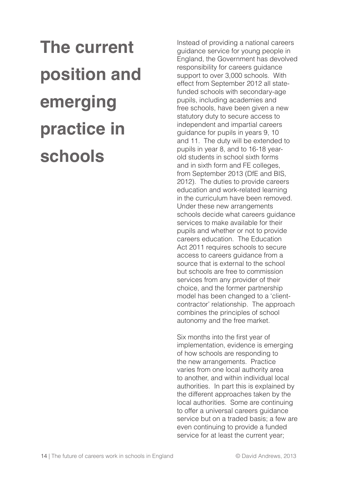**The current position and emerging practice in schools**

Instead of providing a national careers guidance service for young people in England, the Government has devolved responsibility for careers guidance support to over 3,000 schools. With effect from September 2012 all statefunded schools with secondary-age pupils, including academies and free schools, have been given a new statutory duty to secure access to independent and impartial careers guidance for pupils in years 9, 10 and 11. The duty will be extended to pupils in year 8, and to 16-18 yearold students in school sixth forms and in sixth form and FE colleges, from September 2013 (DfE and BIS, 2012). The duties to provide careers education and work-related learning in the curriculum have been removed. Under these new arrangements schools decide what careers guidance services to make available for their pupils and whether or not to provide careers education. The Education Act 2011 requires schools to secure access to careers guidance from a source that is external to the school but schools are free to commission services from any provider of their choice, and the former partnership model has been changed to a 'clientcontractor' relationship. The approach combines the principles of school autonomy and the free market.

Six months into the first year of implementation, evidence is emerging of how schools are responding to the new arrangements. Practice varies from one local authority area to another, and within individual local authorities. In part this is explained by the different approaches taken by the local authorities. Some are continuing to offer a universal careers guidance service but on a traded basis; a few are even continuing to provide a funded service for at least the current year;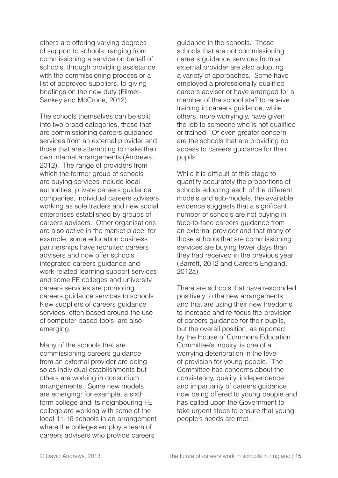others are offering varying degrees of support to schools, ranging from commissioning a service on behalf of schools, through providing assistance with the commissioning process or a list of approved suppliers, to giving briefings on the new duty (Filmer-Sankey and McCrone, 2012).

The schools themselves can be split into two broad categories, those that are commissioning careers guidance services from an external provider and those that are attempting to make their own internal arrangements (Andrews, 2012). The range of providers from which the former group of schools are buying services include local authorities, private careers guidance companies, individual careers advisers working as sole traders and new social enterprises established by groups of careers advisers. Other organisations are also active in the market place: for example, some education business partnerships have recruited careers advisers and now offer schools integrated careers guidance and work-related learning support services and some FE colleges and university careers services are promoting careers guidance services to schools. New suppliers of careers guidance services, often based around the use of computer-based tools, are also emerging.

Many of the schools that are commissioning careers guidance from an external provider are doing so as individual establishments but others are working in consortium arrangements. Some new models are emerging: for example, a sixth form college and its neighbouring FE college are working with some of the local 11-16 schools in an arrangement where the colleges employ a team of careers advisers who provide careers

guidance in the schools. Those schools that are not commissioning careers guidance services from an external provider are also adopting a variety of approaches. Some have employed a professionally qualified careers adviser or have arranged for a member of the school staff to receive training in careers guidance, while others, more worryingly, have given the job to someone who is not qualified or trained. Of even greater concern are the schools that are providing no access to careers guidance for their pupils.

While it is difficult at this stage to quantify accurately the proportions of schools adopting each of the different models and sub-models, the available evidence suggests that a significant number of schools are not buying in face-to-face careers guidance from an external provider and that many of those schools that are commissioning services are buying fewer days than they had received in the previous year (Barrett, 2012 and Careers England, 2012a).

There are schools that have responded positively to the new arrangements and that are using their new freedoms to increase and re-focus the provision of careers guidance for their pupils, but the overall position, as reported by the House of Commons Education Committee's inquiry, is one of a worrying deterioration in the level of provision for young people. The Committee has concerns about the consistency, quality, independence and impartiality of careers guidance now being offered to young people and has called upon the Government to take urgent steps to ensure that young people's needs are met.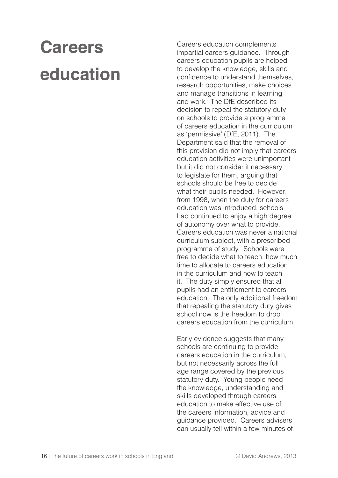## **Careers education**

Careers education complements impartial careers guidance. Through careers education pupils are helped to develop the knowledge, skills and confidence to understand themselves, research opportunities, make choices and manage transitions in learning and work. The DfE described its decision to repeal the statutory duty on schools to provide a programme of careers education in the curriculum as 'permissive' (DfE, 2011). The Department said that the removal of this provision did not imply that careers education activities were unimportant but it did not consider it necessary to legislate for them, arguing that schools should be free to decide what their pupils needed. However, from 1998, when the duty for careers education was introduced, schools had continued to enjoy a high degree of autonomy over what to provide. Careers education was never a national curriculum subject, with a prescribed programme of study. Schools were free to decide what to teach, how much time to allocate to careers education in the curriculum and how to teach it. The duty simply ensured that all pupils had an entitlement to careers education. The only additional freedom that repealing the statutory duty gives school now is the freedom to drop careers education from the curriculum.

Early evidence suggests that many schools are continuing to provide careers education in the curriculum, but not necessarily across the full age range covered by the previous statutory duty. Young people need the knowledge, understanding and skills developed through careers education to make effective use of the careers information, advice and guidance provided. Careers advisers can usually tell within a few minutes of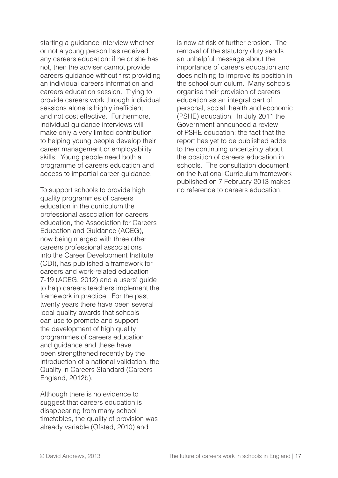starting a guidance interview whether or not a young person has received any careers education: if he or she has not, then the adviser cannot provide careers guidance without first providing an individual careers information and careers education session. Trying to provide careers work through individual sessions alone is highly inefficient and not cost effective. Furthermore, individual guidance interviews will make only a very limited contribution to helping young people develop their career management or employability skills. Young people need both a programme of careers education and access to impartial career guidance.

To support schools to provide high quality programmes of careers education in the curriculum the professional association for careers education, the Association for Careers Education and Guidance (ACEG), now being merged with three other careers professional associations into the Career Development Institute (CDI), has published a framework for careers and work-related education 7-19 (ACEG, 2012) and a users' guide to help careers teachers implement the framework in practice. For the past twenty years there have been several local quality awards that schools can use to promote and support the development of high quality programmes of careers education and guidance and these have been strengthened recently by the introduction of a national validation, the Quality in Careers Standard (Careers England, 2012b).

Although there is no evidence to suggest that careers education is disappearing from many school timetables, the quality of provision was already variable (Ofsted, 2010) and

is now at risk of further erosion. The removal of the statutory duty sends an unhelpful message about the importance of careers education and does nothing to improve its position in the school curriculum. Many schools organise their provision of careers education as an integral part of personal, social, health and economic (PSHE) education. In July 2011 the Government announced a review of PSHE education: the fact that the report has yet to be published adds to the continuing uncertainty about the position of careers education in schools. The consultation document on the National Curriculum framework published on 7 February 2013 makes no reference to careers education.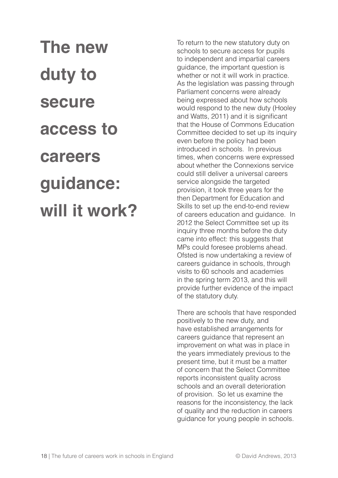**The new duty to secure access to careers guidance: will it work?** To return to the new statutory duty on schools to secure access for pupils to independent and impartial careers guidance, the important question is whether or not it will work in practice. As the legislation was passing through Parliament concerns were already being expressed about how schools would respond to the new duty (Hooley and Watts, 2011) and it is significant that the House of Commons Education Committee decided to set up its inquiry even before the policy had been introduced in schools. In previous times, when concerns were expressed about whether the Connexions service could still deliver a universal careers service alongside the targeted provision, it took three years for the then Department for Education and Skills to set up the end-to-end review of careers education and guidance. In 2012 the Select Committee set up its inquiry three months before the duty came into effect: this suggests that MPs could foresee problems ahead. Ofsted is now undertaking a review of careers guidance in schools, through visits to 60 schools and academies in the spring term 2013, and this will provide further evidence of the impact of the statutory duty.

There are schools that have responded positively to the new duty, and have established arrangements for careers guidance that represent an improvement on what was in place in the years immediately previous to the present time, but it must be a matter of concern that the Select Committee reports inconsistent quality across schools and an overall deterioration of provision. So let us examine the reasons for the inconsistency, the lack of quality and the reduction in careers guidance for young people in schools.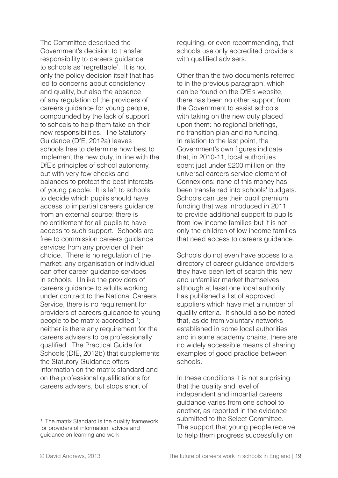The Committee described the Government's decision to transfer responsibility to careers guidance to schools as 'regrettable'. It is not only the policy decision itself that has led to concerns about consistency and quality, but also the absence of any regulation of the providers of careers guidance for young people, compounded by the lack of support to schools to help them take on their new responsibilities. The Statutory Guidance (DfE, 2012a) leaves schools free to determine how best to implement the new duty, in line with the DfE's principles of school autonomy, but with very few checks and balances to protect the best interests of young people. It is left to schools to decide which pupils should have access to impartial careers guidance from an external source: there is no entitlement for all pupils to have access to such support. Schools are free to commission careers guidance services from any provider of their choice. There is no regulation of the market: any organisation or individual can offer career guidance services in schools. Unlike the providers of careers guidance to adults working under contract to the National Careers Service, there is no requirement for providers of careers guidance to young people to be matrix-accredited  $1$ ; neither is there any requirement for the careers advisers to be professionally qualified. The Practical Guide for Schools (DfE, 2012b) that supplements the Statutory Guidance offers information on the matrix standard and on the professional qualifications for careers advisers, but stops short of

requiring, or even recommending, that schools use only accredited providers with qualified advisers.

Other than the two documents referred to in the previous paragraph, which can be found on the DfE's website, there has been no other support from the Government to assist schools with taking on the new duty placed upon them: no regional briefings, no transition plan and no funding. In relation to the last point, the Government's own figures indicate that, in 2010-11, local authorities spent just under £200 million on the universal careers service element of Connexions: none of this money has been transferred into schools' budgets. Schools can use their pupil premium funding that was introduced in 2011 to provide additional support to pupils from low income families but it is not only the children of low income families that need access to careers guidance.

Schools do not even have access to a directory of career guidance providers: they have been left of search this new and unfamiliar market themselves, although at least one local authority has published a list of approved suppliers which have met a number of quality criteria. It should also be noted that, aside from voluntary networks established in some local authorities and in some academy chains, there are no widely accessible means of sharing examples of good practice between schools.

In these conditions it is not surprising that the quality and level of independent and impartial careers guidance varies from one school to another, as reported in the evidence submitted to the Select Committee. The support that young people receive to help them progress successfully on

<sup>&</sup>lt;sup>1</sup> The matrix Standard is the quality framework for providers of information, advice and guidance on learning and work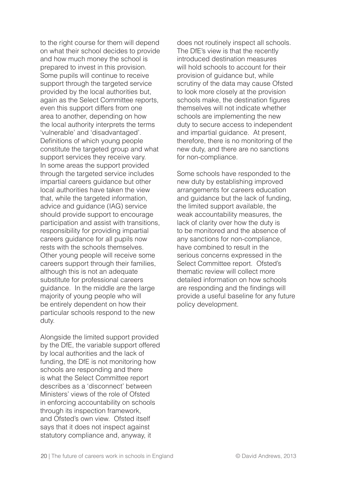to the right course for them will depend on what their school decides to provide and how much money the school is prepared to invest in this provision. Some pupils will continue to receive support through the targeted service provided by the local authorities but, again as the Select Committee reports, even this support differs from one area to another, depending on how the local authority interprets the terms 'vulnerable' and 'disadvantaged'. Definitions of which young people constitute the targeted group and what support services they receive vary. In some areas the support provided through the targeted service includes impartial careers guidance but other local authorities have taken the view that, while the targeted information, advice and guidance (IAG) service should provide support to encourage participation and assist with transitions, responsibility for providing impartial careers guidance for all pupils now rests with the schools themselves. Other young people will receive some careers support through their families, although this is not an adequate substitute for professional careers guidance. In the middle are the large majority of young people who will be entirely dependent on how their particular schools respond to the new duty.

Alongside the limited support provided by the DfE, the variable support offered by local authorities and the lack of funding, the DfE is not monitoring how schools are responding and there is what the Select Committee report describes as a 'disconnect' between Ministers' views of the role of Ofsted in enforcing accountability on schools through its inspection framework, and Ofsted's own view. Ofsted itself says that it does not inspect against statutory compliance and, anyway, it

does not routinely inspect all schools. The DfE's view is that the recently introduced destination measures will hold schools to account for their provision of guidance but, while scrutiny of the data may cause Ofsted to look more closely at the provision schools make, the destination figures themselves will not indicate whether schools are implementing the new duty to secure access to independent and impartial guidance. At present, therefore, there is no monitoring of the new duty, and there are no sanctions for non-compliance.

Some schools have responded to the new duty by establishing improved arrangements for careers education and guidance but the lack of funding, the limited support available, the weak accountability measures, the lack of clarity over how the duty is to be monitored and the absence of any sanctions for non-compliance, have combined to result in the serious concerns expressed in the Select Committee report. Ofsted's thematic review will collect more detailed information on how schools are responding and the findings will provide a useful baseline for any future policy development.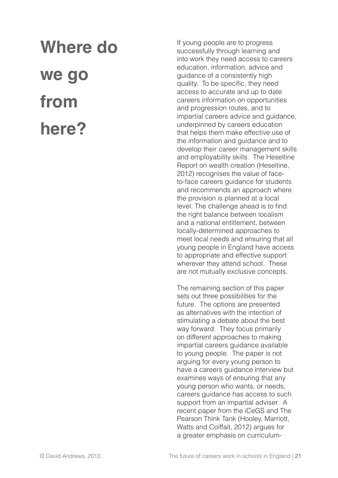# **Where do we go from here?**

If young people are to progress successfully through learning and into work they need access to careers education, information, advice and guidance of a consistently high quality. To be specific, they need access to accurate and up to date careers information on opportunities and progression routes, and to impartial careers advice and guidance, underpinned by careers education that helps them make effective use of the information and guidance and to develop their career management skills and employability skills. The Heseltine Report on wealth creation (Heseltine, 2012) recognises the value of faceto-face careers guidance for students and recommends an approach where the provision is planned at a local level. The challenge ahead is to find the right balance between localism and a national entitlement, between locally-determined approaches to meet local needs and ensuring that all young people in England have access to appropriate and effective support wherever they attend school. These are not mutually exclusive concepts.

The remaining section of this paper sets out three possibilities for the future. The options are presented as alternatives with the intention of stimulating a debate about the best way forward. They focus primarily on different approaches to making impartial careers guidance available to young people. The paper is not arguing for every young person to have a careers guidance interview but examines ways of ensuring that any young person who wants, or needs, careers guidance has access to such support from an impartial adviser. A recent paper from the iCeGS and The Pearson Think Tank (Hooley, Marriott, Watts and Coiffait, 2012) argues for a greater emphasis on curriculum-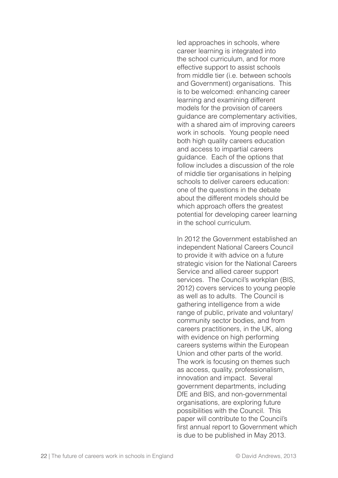led approaches in schools, where career learning is integrated into the school curriculum, and for more effective support to assist schools from middle tier (i.e. between schools and Government) organisations. This is to be welcomed: enhancing career learning and examining different models for the provision of careers guidance are complementary activities, with a shared aim of improving careers work in schools. Young people need both high quality careers education and access to impartial careers guidance. Each of the options that follow includes a discussion of the role of middle tier organisations in helping schools to deliver careers education: one of the questions in the debate about the different models should be which approach offers the greatest potential for developing career learning in the school curriculum.

In 2012 the Government established an independent National Careers Council to provide it with advice on a future strategic vision for the National Careers Service and allied career support services. The Council's workplan (BIS, 2012) covers services to young people as well as to adults. The Council is gathering intelligence from a wide range of public, private and voluntary/ community sector bodies, and from careers practitioners, in the UK, along with evidence on high performing careers systems within the European Union and other parts of the world. The work is focusing on themes such as access, quality, professionalism, innovation and impact. Several government departments, including DfE and BIS, and non-governmental organisations, are exploring future possibilities with the Council. This paper will contribute to the Council's first annual report to Government which is due to be published in May 2013.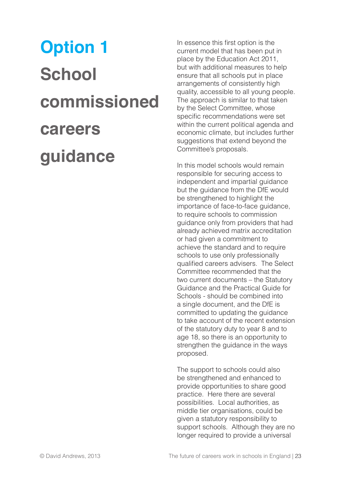# **Option 1 School commissioned careers guidance**

In essence this first option is the current model that has been put in place by the Education Act 2011, but with additional measures to help ensure that all schools put in place arrangements of consistently high quality, accessible to all young people. The approach is similar to that taken by the Select Committee, whose specific recommendations were set within the current political agenda and economic climate, but includes further suggestions that extend beyond the Committee's proposals.

In this model schools would remain responsible for securing access to independent and impartial guidance but the guidance from the DfE would be strengthened to highlight the importance of face-to-face guidance, to require schools to commission guidance only from providers that had already achieved matrix accreditation or had given a commitment to achieve the standard and to require schools to use only professionally qualified careers advisers. The Select Committee recommended that the two current documents – the Statutory Guidance and the Practical Guide for Schools - should be combined into a single document, and the DfE is committed to updating the guidance to take account of the recent extension of the statutory duty to year 8 and to age 18, so there is an opportunity to strengthen the guidance in the ways proposed.

The support to schools could also be strengthened and enhanced to provide opportunities to share good practice. Here there are several possibilities. Local authorities, as middle tier organisations, could be given a statutory responsibility to support schools. Although they are no longer required to provide a universal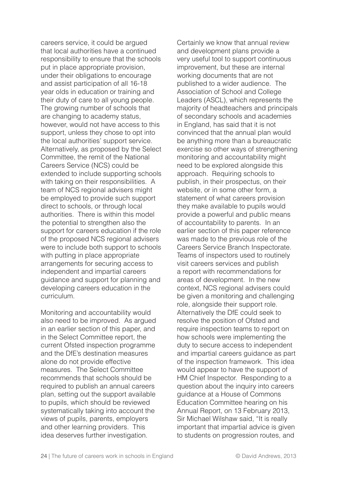careers service, it could be argued that local authorities have a continued responsibility to ensure that the schools put in place appropriate provision, under their obligations to encourage and assist participation of all 16-18 year olds in education or training and their duty of care to all young people. The growing number of schools that are changing to academy status, however, would not have access to this support, unless they chose to opt into the local authorities' support service. Alternatively, as proposed by the Select Committee, the remit of the National Careers Service (NCS) could be extended to include supporting schools with taking on their responsibilities. A team of NCS regional advisers might be employed to provide such support direct to schools, or through local authorities. There is within this model the potential to strengthen also the support for careers education if the role of the proposed NCS regional advisers were to include both support to schools with putting in place appropriate arrangements for securing access to independent and impartial careers guidance and support for planning and developing careers education in the curriculum.

Monitoring and accountability would also need to be improved. As argued in an earlier section of this paper, and in the Select Committee report, the current Ofsted inspection programme and the DfE's destination measures alone do not provide effective measures. The Select Committee recommends that schools should be required to publish an annual careers plan, setting out the support available to pupils, which should be reviewed systematically taking into account the views of pupils, parents, employers and other learning providers. This idea deserves further investigation.

Certainly we know that annual review and development plans provide a very useful tool to support continuous improvement, but these are internal working documents that are not published to a wider audience. The Association of School and College Leaders (ASCL), which represents the majority of headteachers and principals of secondary schools and academies in England, has said that it is not convinced that the annual plan would be anything more than a bureaucratic exercise so other ways of strengthening monitoring and accountability might need to be explored alongside this approach. Requiring schools to publish, in their prospectus, on their website, or in some other form, a statement of what careers provision they make available to pupils would provide a powerful and public means of accountability to parents. In an earlier section of this paper reference was made to the previous role of the Careers Service Branch Inspectorate. Teams of inspectors used to routinely visit careers services and publish a report with recommendations for areas of development. In the new context, NCS regional advisers could be given a monitoring and challenging role, alongside their support role. Alternatively the DfE could seek to resolve the position of Ofsted and require inspection teams to report on how schools were implementing the duty to secure access to independent and impartial careers guidance as part of the inspection framework. This idea would appear to have the support of HM Chief Inspector. Responding to a question about the inquiry into careers guidance at a House of Commons Education Committee hearing on his Annual Report, on 13 February 2013, Sir Michael Wilshaw said, "It is really important that impartial advice is given to students on progression routes, and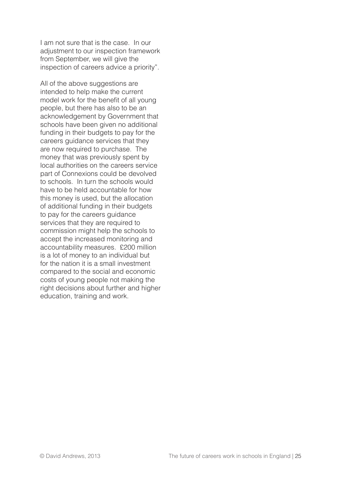I am not sure that is the case. In our adjustment to our inspection framework from September, we will give the inspection of careers advice a priority".

All of the above suggestions are intended to help make the current model work for the benefit of all young people, but there has also to be an acknowledgement by Government that schools have been given no additional funding in their budgets to pay for the careers guidance services that they are now required to purchase. The money that was previously spent by local authorities on the careers service part of Connexions could be devolved to schools. In turn the schools would have to be held accountable for how this money is used, but the allocation of additional funding in their budgets to pay for the careers guidance services that they are required to commission might help the schools to accept the increased monitoring and accountability measures. £200 million is a lot of money to an individual but for the nation it is a small investment compared to the social and economic costs of young people not making the right decisions about further and higher education, training and work.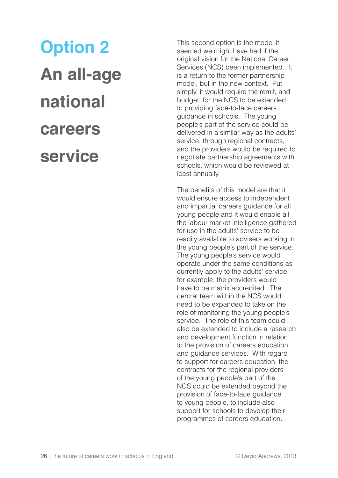# **Option 2 An all-age national careers service**

This second option is the model it seemed we might have had if the original vision for the National Career Services (NCS) been implemented. It is a return to the former partnership model, but in the new context. Put simply, it would require the remit, and budget, for the NCS to be extended to providing face-to-face careers guidance in schools. The young people's part of the service could be delivered in a similar way as the adults' service, through regional contracts, and the providers would be required to negotiate partnership agreements with schools, which would be reviewed at least annually.

The benefits of this model are that it would ensure access to independent and impartial careers guidance for all young people and it would enable all the labour market intelligence gathered for use in the adults' service to be readily available to advisers working in the young people's part of the service. The young people's service would operate under the same conditions as currently apply to the adults' service, for example, the providers would have to be matrix accredited. The central team within the NCS would need to be expanded to take on the role of monitoring the young people's service. The role of this team could also be extended to include a research and development function in relation to the provision of careers education and guidance services. With regard to support for careers education, the contracts for the regional providers of the young people's part of the NCS could be extended beyond the provision of face-to-face guidance to young people, to include also support for schools to develop their programmes of careers education.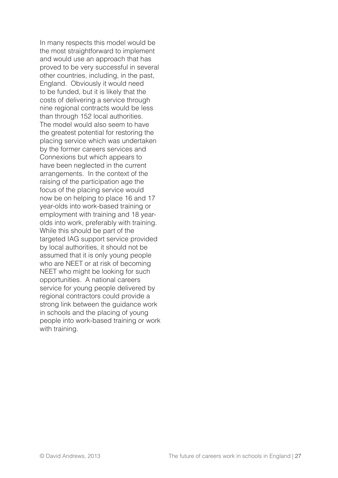In many respects this model would be the most straightforward to implement and would use an approach that has proved to be very successful in several other countries, including, in the past, England. Obviously it would need to be funded, but it is likely that the costs of delivering a service through nine regional contracts would be less than through 152 local authorities. The model would also seem to have the greatest potential for restoring the placing service which was undertaken by the former careers services and Connexions but which appears to have been neglected in the current arrangements. In the context of the raising of the participation age the focus of the placing service would now be on helping to place 16 and 17 year-olds into work-based training or employment with training and 18 yearolds into work, preferably with training. While this should be part of the targeted IAG support service provided by local authorities, it should not be assumed that it is only young people who are NEET or at risk of becoming NEET who might be looking for such opportunities. A national careers service for young people delivered by regional contractors could provide a strong link between the guidance work in schools and the placing of young people into work-based training or work with training.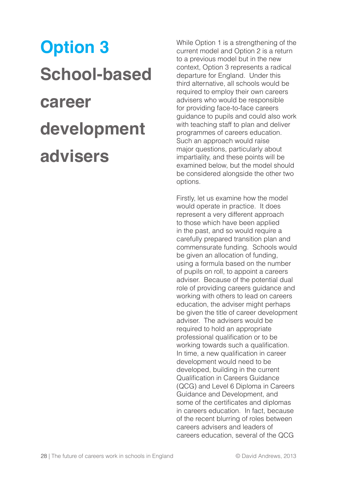# **Option 3 School-based career development advisers**

While Option 1 is a strengthening of the current model and Option 2 is a return to a previous model but in the new context, Option 3 represents a radical departure for England. Under this third alternative, all schools would be required to employ their own careers advisers who would be responsible for providing face-to-face careers guidance to pupils and could also work with teaching staff to plan and deliver programmes of careers education. Such an approach would raise major questions, particularly about impartiality, and these points will be examined below, but the model should be considered alongside the other two options.

Firstly, let us examine how the model would operate in practice. It does represent a very different approach to those which have been applied in the past, and so would require a carefully prepared transition plan and commensurate funding. Schools would be given an allocation of funding, using a formula based on the number of pupils on roll, to appoint a careers adviser. Because of the potential dual role of providing careers guidance and working with others to lead on careers education, the adviser might perhaps be given the title of career development adviser. The advisers would be required to hold an appropriate professional qualification or to be working towards such a qualification. In time, a new qualification in career development would need to be developed, building in the current Qualification in Careers Guidance (QCG) and Level 6 Diploma in Careers Guidance and Development, and some of the certificates and diplomas in careers education. In fact, because of the recent blurring of roles between careers advisers and leaders of careers education, several of the QCG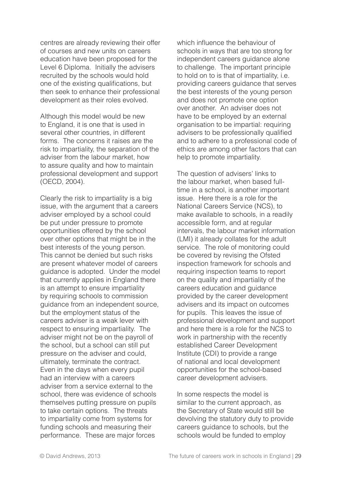centres are already reviewing their offer of courses and new units on careers education have been proposed for the Level 6 Diploma. Initially the advisers recruited by the schools would hold one of the existing qualifications, but then seek to enhance their professional development as their roles evolved.

Although this model would be new to England, it is one that is used in several other countries, in different forms. The concerns it raises are the risk to impartiality, the separation of the adviser from the labour market, how to assure quality and how to maintain professional development and support (OECD, 2004).

Clearly the risk to impartiality is a big issue, with the argument that a careers adviser employed by a school could be put under pressure to promote opportunities offered by the school over other options that might be in the best interests of the young person. This cannot be denied but such risks are present whatever model of careers guidance is adopted. Under the model that currently applies in England there is an attempt to ensure impartiality by requiring schools to commission guidance from an independent source, but the employment status of the careers adviser is a weak lever with respect to ensuring impartiality. The adviser might not be on the payroll of the school, but a school can still put pressure on the adviser and could, ultimately, terminate the contract. Even in the days when every pupil had an interview with a careers adviser from a service external to the school, there was evidence of schools themselves putting pressure on pupils to take certain options. The threats to impartiality come from systems for funding schools and measuring their performance. These are major forces

which influence the behaviour of schools in ways that are too strong for independent careers guidance alone to challenge. The important principle to hold on to is that of impartiality, i.e. providing careers guidance that serves the best interests of the young person and does not promote one option over another. An adviser does not have to be employed by an external organisation to be impartial: requiring advisers to be professionally qualified and to adhere to a professional code of ethics are among other factors that can help to promote impartiality.

The question of advisers' links to the labour market, when based fulltime in a school, is another important issue. Here there is a role for the National Careers Service (NCS), to make available to schools, in a readily accessible form, and at regular intervals, the labour market information (LMI) it already collates for the adult service. The role of monitoring could be covered by revising the Ofsted inspection framework for schools and requiring inspection teams to report on the quality and impartiality of the careers education and guidance provided by the career development advisers and its impact on outcomes for pupils. This leaves the issue of professional development and support and here there is a role for the NCS to work in partnership with the recently established Career Development Institute (CDI) to provide a range of national and local development opportunities for the school-based career development advisers.

In some respects the model is similar to the current approach, as the Secretary of State would still be devolving the statutory duty to provide careers guidance to schools, but the schools would be funded to employ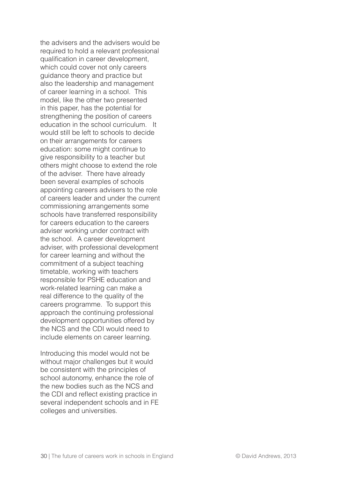the advisers and the advisers would be required to hold a relevant professional qualification in career development, which could cover not only careers guidance theory and practice but also the leadership and management of career learning in a school. This model, like the other two presented in this paper, has the potential for strengthening the position of careers education in the school curriculum. It would still be left to schools to decide on their arrangements for careers education: some might continue to give responsibility to a teacher but others might choose to extend the role of the adviser. There have already been several examples of schools appointing careers advisers to the role of careers leader and under the current commissioning arrangements some schools have transferred responsibility for careers education to the careers adviser working under contract with the school. A career development adviser, with professional development for career learning and without the commitment of a subject teaching timetable, working with teachers responsible for PSHE education and work-related learning can make a real difference to the quality of the careers programme. To support this approach the continuing professional development opportunities offered by the NCS and the CDI would need to include elements on career learning.

Introducing this model would not be without major challenges but it would be consistent with the principles of school autonomy, enhance the role of the new bodies such as the NCS and the CDI and reflect existing practice in several independent schools and in FE colleges and universities.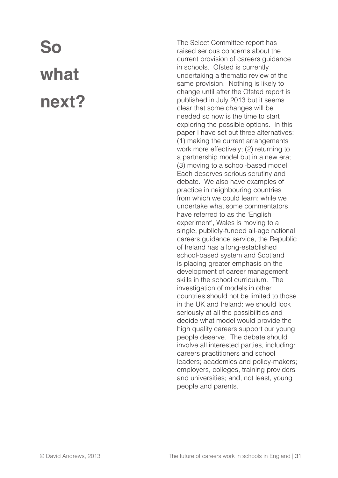## **So what next?**

The Select Committee report has raised serious concerns about the current provision of careers guidance in schools. Ofsted is currently undertaking a thematic review of the same provision. Nothing is likely to change until after the Ofsted report is published in July 2013 but it seems clear that some changes will be needed so now is the time to start exploring the possible options. In this paper I have set out three alternatives: (1) making the current arrangements work more effectively; (2) returning to a partnership model but in a new era; (3) moving to a school-based model. Each deserves serious scrutiny and debate. We also have examples of practice in neighbouring countries from which we could learn: while we undertake what some commentators have referred to as the 'English experiment', Wales is moving to a single, publicly-funded all-age national careers guidance service, the Republic of Ireland has a long-established school-based system and Scotland is placing greater emphasis on the development of career management skills in the school curriculum. The investigation of models in other countries should not be limited to those in the UK and Ireland: we should look seriously at all the possibilities and decide what model would provide the high quality careers support our young people deserve. The debate should involve all interested parties, including: careers practitioners and school leaders; academics and policy-makers; employers, colleges, training providers and universities; and, not least, young people and parents.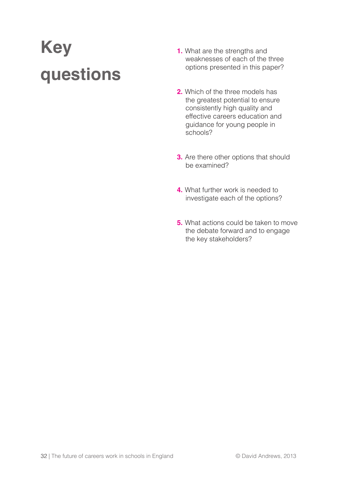## **Key questions**

- **1.** What are the strengths and weaknesses of each of the three options presented in this paper?
- **2.** Which of the three models has the greatest potential to ensure consistently high quality and effective careers education and guidance for young people in schools?
- **3.** Are there other options that should be examined?
- **4.** What further work is needed to investigate each of the options?
- **5.** What actions could be taken to move the debate forward and to engage the key stakeholders?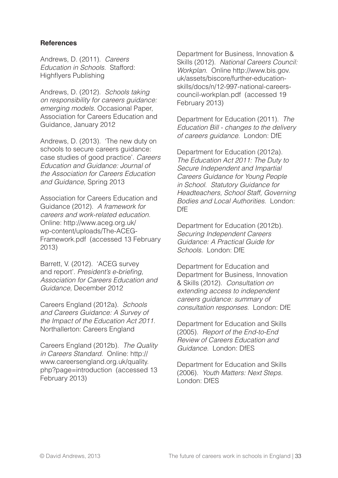#### **References**

Andrews, D. (2011). Careers Education in Schools. Stafford: Highflyers Publishing

Andrews, D. (2012). Schools taking on responsibility for careers guidance: emerging models. Occasional Paper, Association for Careers Education and Guidance, January 2012

Andrews, D. (2013). 'The new duty on schools to secure careers guidance: case studies of good practice'. Careers Education and Guidance: Journal of the Association for Careers Education and Guidance, Spring 2013

Association for Careers Education and Guidance (2012). A framework for careers and work-related education. Online: http://www.aceg.org.uk/ wp-content/uploads/The-ACEG-Framework.pdf (accessed 13 February 2013)

Barrett, V. (2012). 'ACEG survey and report'. President's e-briefing, Association for Careers Education and Guidance, December 2012

Careers England (2012a). Schools and Careers Guidance: A Survey of the Impact of the Education Act 2011. Northallerton: Careers England

Careers England (2012b). The Quality in Careers Standard. Online: http:// www.careersengland.org.uk/quality. php?page=introduction (accessed 13 February 2013)

Department for Business, Innovation & Skills (2012). National Careers Council: Workplan. Online http://www.bis.gov. uk/assets/biscore/further-educationskills/docs/n/12-997-national-careerscouncil-workplan.pdf (accessed 19 February 2013)

Department for Education (2011). The Education Bill - changes to the delivery of careers guidance. London: DfE

Department for Education (2012a). The Education Act 2011: The Duty to Secure Independent and Impartial Careers Guidance for Young People in School. Statutory Guidance for Headteachers, School Staff, Governing Bodies and Local Authorities. London: DfE

Department for Education (2012b). Securing Independent Careers Guidance: A Practical Guide for Schools. London: DfE

Department for Education and Department for Business, Innovation & Skills (2012). Consultation on extending access to independent careers guidance: summary of consultation responses. London: DfE

Department for Education and Skills (2005). Report of the End-to-End Review of Careers Education and Guidance. London: DfES

Department for Education and Skills (2006). Youth Matters: Next Steps. London: DfES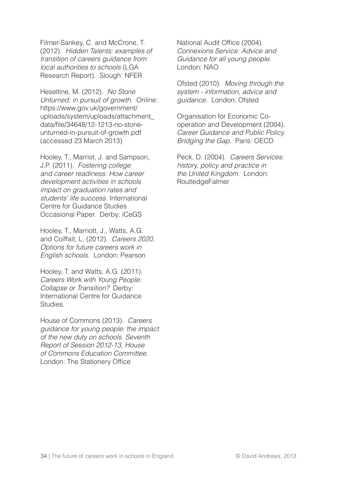Filmer-Sankey, C. and McCrone, T. (2012). Hidden Talents: examples of transition of careers guidance from local authorities to schools (LGA Research Report). Slough: NFER

Heseltine, M. (2012). No Stone Unturned: in pursuit of growth. Online: https://www.gov.uk/government/ uploads/system/uploads/attachment\_ data/file/34648/12-1213-no-stoneunturned-in-pursuit-of-growth.pdf (accessed 23 March 2013)

Hooley, T., Marriot, J. and Sampson, J.P. (2011). Fostering college and career readiness: How career development activities in schools impact on graduation rates and students' life success. International Centre for Guidance Studies Occasional Paper. Derby: iCeGS

Hooley, T., Marriott, J., Watts, A.G. and Coiffait, L. (2012). Careers 2020. Options for future careers work in English schools. London: Pearson

Hooley, T. and Watts, A.G. (2011). Careers Work with Young People: Collapse or Transition? Derby: International Centre for Guidance Studies.

House of Commons (2013). Careers guidance for young people: the impact of the new duty on schools. Seventh Report of Session 2012-13, House of Commons Education Committee. London: The Stationery Office

National Audit Office (2004). Connexions Service: Advice and Guidance for all young people. London: NAO

Ofsted (2010). Moving through the system - information, advice and guidance. London: Ofsted

Organisation for Economic Cooperation and Development (2004). Career Guidance and Public Policy. Bridging the Gap. Paris: OECD

Peck, D. (2004). Careers Services: history, policy and practice in the United Kingdom. London: RoutledgeFalmer